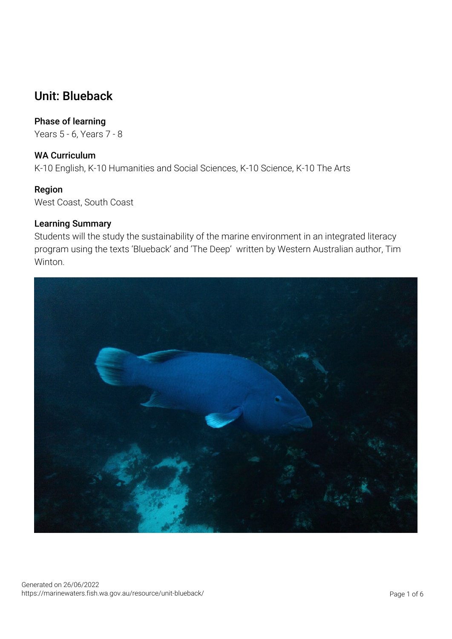# Unit: Blueback

#### Phase of learning Years 5 - 6, Years 7 - 8

WA Curriculum K-10 English, K-10 Humanities and Social Sciences, K-10 Science, K-10 The Arts

Region West Coast, South Coast

## Learning Summary

Students will the study the sustainability of the marine environment in an integrated literacy program using the texts 'Blueback' and 'The Deep' written by Western Australian author, Tim Winton.

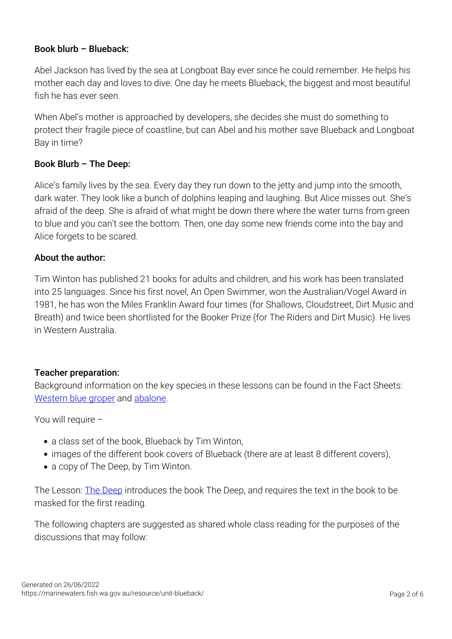#### Book blurb – Blueback:

Abel Jackson has lived by the sea at Longboat Bay ever since he could remember. He helps his mother each day and loves to dive. One day he meets Blueback, the biggest and most beautiful fish he has ever seen.

When Abel's mother is approached by developers, she decides she must do something to protect their fragile piece of coastline, but can Abel and his mother save Blueback and Longboat Bay in time?

#### Book Blurb – The Deep:

Alice's family lives by the sea. Every day they run down to the jetty and jump into the smooth, dark water. They look like a bunch of dolphins leaping and laughing. But Alice misses out. She's afraid of the deep. She is afraid of what might be down there where the water turns from green to blue and you can't see the bottom. Then, one day some new friends come into the bay and Alice forgets to be scared.

#### About the author:

Tim Winton has published 21 books for adults and children, and his work has been translated into 25 languages. Since his first novel, An Open Swimmer, won the Australian/Vogel Award in 1981, he has won the Miles Franklin Award four times (for Shallows, Cloudstreet, Dirt Music and Breath) and twice been shortlisted for the Booker Prize (for The Riders and Dirt Music). He lives in Western Australia.

#### Teacher preparation:

Background information on the key species in these lessons can be found in the Fact Sheets: [Western blue groper](https://marinewaters.fish.wa.gov.au/resource/fact-sheet-western-blue-groper/) and [abalone.](https://marinewaters.fish.wa.gov.au/resource/abalone-2/)

You will require -

- a class set of the book, Blueback by Tim Winton,
- images of the different book covers of Blueback (there are at least 8 different covers).
- a copy of The Deep, by Tim Winton.

The Lesson: [The Deep](https://marinewaters.fish.wa.gov.au/resource/lesson-the-deep/) introduces the book The Deep, and requires the text in the book to be masked for the first reading.

The following chapters are suggested as shared whole class reading for the purposes of the discussions that may follow: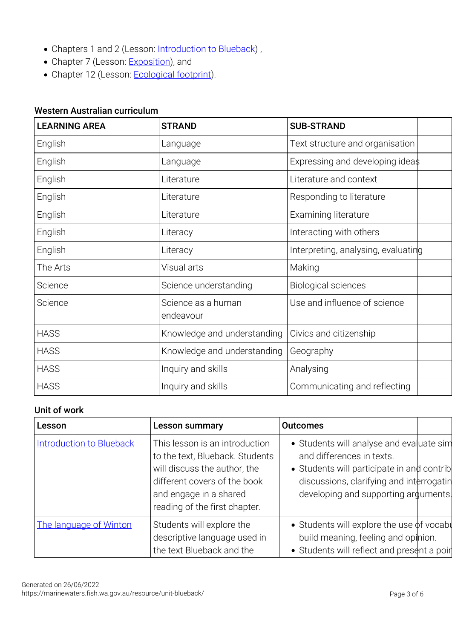- Chapters 1 and 2 (Lesson: [Introduction to Blueback\)](https://marinewaters.fish.wa.gov.au/resource/lesson-introduction-to-blueback/),
- Chapter 7 (Lesson: [Exposition](https://marinewaters.fish.wa.gov.au/resource/lesson-exposition/)), and
- Chapter 12 (Lesson: [Ecological footprint](https://marinewaters.fish.wa.gov.au/resource/lesson-ecological-footprint/)).

| <b>LEARNING AREA</b> | <b>STRAND</b>                   | <b>SUB-STRAND</b>                   |  |
|----------------------|---------------------------------|-------------------------------------|--|
| English              | Language                        | Text structure and organisation     |  |
| English              | Language                        | Expressing and developing ideas     |  |
| English              | Literature                      | Literature and context              |  |
| English              | Literature                      | Responding to literature            |  |
| English              | Literature                      | Examining literature                |  |
| English              | Literacy                        | Interacting with others             |  |
| English              | Literacy                        | Interpreting, analysing, evaluating |  |
| The Arts             | Visual arts                     | Making                              |  |
| Science              | Science understanding           | <b>Biological sciences</b>          |  |
| Science              | Science as a human<br>endeavour | Use and influence of science        |  |
| <b>HASS</b>          | Knowledge and understanding     | Civics and citizenship              |  |
| <b>HASS</b>          | Knowledge and understanding     | Geography                           |  |
| <b>HASS</b>          | Inquiry and skills              | Analysing                           |  |
| <b>HASS</b>          | Inquiry and skills              | Communicating and reflecting        |  |

## Western Australian curriculum

#### Unit of work

| Lesson                          | <b>Lesson summary</b>                                                                                                                                                                        | <b>Outcomes</b>                                                                                                                                                                                         |  |
|---------------------------------|----------------------------------------------------------------------------------------------------------------------------------------------------------------------------------------------|---------------------------------------------------------------------------------------------------------------------------------------------------------------------------------------------------------|--|
| <b>Introduction to Blueback</b> | This lesson is an introduction<br>to the text, Blueback. Students<br>will discuss the author, the<br>different covers of the book<br>and engage in a shared<br>reading of the first chapter. | • Students will analyse and evaluate sim<br>and differences in texts.<br>• Students will participate in and contrib<br>discussions, clarifying and interrogatin<br>developing and supporting arguments. |  |
| The language of Winton          | Students will explore the<br>descriptive language used in<br>the text Blueback and the                                                                                                       | • Students will explore the use $\phi$ f vocabu<br>build meaning, feeling and opinion.<br>• Students will reflect and present a poir                                                                    |  |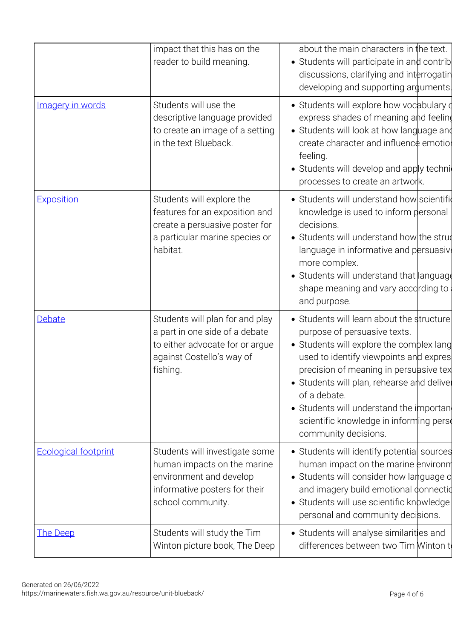|                             | impact that this has on the<br>reader to build meaning.                                                                                        | about the main characters in the text.<br>• Students will participate in and contrib<br>discussions, clarifying and interrogatin<br>developing and supporting arguments.                                                                                                                                                                                                               |
|-----------------------------|------------------------------------------------------------------------------------------------------------------------------------------------|----------------------------------------------------------------------------------------------------------------------------------------------------------------------------------------------------------------------------------------------------------------------------------------------------------------------------------------------------------------------------------------|
| <b>Imagery in words</b>     | Students will use the<br>descriptive language provided<br>to create an image of a setting<br>in the text Blueback.                             | • Students will explore how vocabulary o<br>express shades of meaning and feeling<br>• Students will look at how language and<br>create character and influence emotior<br>feeling.<br>• Students will develop and apply techni<br>processes to create an artwork.                                                                                                                     |
| <b>Exposition</b>           | Students will explore the<br>features for an exposition and<br>create a persuasive poster for<br>a particular marine species or<br>habitat.    | • Students will understand how scientific<br>knowledge is used to inform personal<br>decisions.<br>• Students will understand how the struc<br>language in informative and persuasive<br>more complex.<br>• Students will understand that anguage<br>shape meaning and vary according to<br>and purpose.                                                                               |
| Debate                      | Students will plan for and play<br>a part in one side of a debate<br>to either advocate for or argue<br>against Costello's way of<br>fishing.  | • Students will learn about the structure<br>purpose of persuasive texts.<br>• Students will explore the complex lang<br>used to identify viewpoints and expres<br>precision of meaning in persuasive tex<br>• Students will plan, rehearse and deliver<br>of a debate.<br>• Students will understand the importane<br>scientific knowledge in informing perse<br>community decisions. |
| <b>Ecological footprint</b> | Students will investigate some<br>human impacts on the marine<br>environment and develop<br>informative posters for their<br>school community. | • Students will identify potential sources<br>human impact on the marine environm<br>• Students will consider how language c<br>and imagery build emotional donnectic<br>• Students will use scientific knowledge<br>personal and community decisions.                                                                                                                                 |
| <u>The Deep</u>             | Students will study the Tim<br>Winton picture book, The Deep                                                                                   | • Students will analyse similarities and<br>differences between two Tim Winton to                                                                                                                                                                                                                                                                                                      |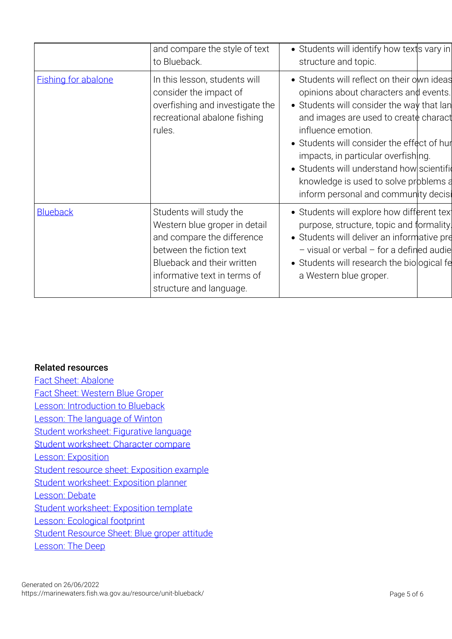|                            | and compare the style of text<br>to Blueback.                                                                                                                                                               | • Students will identify how texts vary in<br>structure and topic.                                                                                                                                                                                                                                                                                                                                                 |
|----------------------------|-------------------------------------------------------------------------------------------------------------------------------------------------------------------------------------------------------------|--------------------------------------------------------------------------------------------------------------------------------------------------------------------------------------------------------------------------------------------------------------------------------------------------------------------------------------------------------------------------------------------------------------------|
| <b>Fishing for abalone</b> | In this lesson, students will<br>consider the impact of<br>overfishing and investigate the<br>recreational abalone fishing<br>rules.                                                                        | • Students will reflect on their own ideas<br>opinions about characters and events.<br>• Students will consider the way that lan<br>and images are used to create charact<br>influence emotion.<br>• Students will consider the effect of hur<br>impacts, in particular overfishing.<br>• Students will understand how scientific<br>knowledge is used to solve problems a<br>inform personal and community decisi |
| <b>Blueback</b>            | Students will study the<br>Western blue groper in detail<br>and compare the difference<br>between the fiction text<br>Blueback and their written<br>informative text in terms of<br>structure and language. | • Students will explore how different text<br>purpose, structure, topic and formality.<br>• Students will deliver an informative pre<br>$-$ visual or verbal $-$ for a defined audie<br>• Students will research the biological fe<br>a Western blue groper.                                                                                                                                                       |

#### Related resources

[Fact Sheet: Abalone](https://marinewaters.fish.wa.gov.au/resource/abalone-2/) [Fact Sheet: Western Blue Groper](https://marinewaters.fish.wa.gov.au/resource/fact-sheet-western-blue-groper/) [Lesson: Introduction to Blueback](https://marinewaters.fish.wa.gov.au/resource/lesson-introduction-to-blueback/) [Lesson: The language of Winton](https://marinewaters.fish.wa.gov.au/resource/lesson-the-language-of-winton/) [Student worksheet: Figurative language](https://marinewaters.fish.wa.gov.au/resource/student-worksheet-figurative-language/) [Student worksheet: Character compare](https://marinewaters.fish.wa.gov.au/resource/student-worksheet-character-compare/) [Lesson: Exposition](https://marinewaters.fish.wa.gov.au/resource/lesson-exposition/) [Student resource sheet: Exposition example](https://marinewaters.fish.wa.gov.au/resource/student-worksheet-exposition-example/) [Student worksheet: Exposition planner](https://marinewaters.fish.wa.gov.au/resource/student-worksheet-exposition-planner/) [Lesson: Debate](https://marinewaters.fish.wa.gov.au/resource/lesson-debate/) [Student worksheet: Exposition template](https://marinewaters.fish.wa.gov.au/resource/student-worksheet-exposition-template/) [Lesson: Ecological footprint](https://marinewaters.fish.wa.gov.au/resource/lesson-ecological-footprint/) [Student Resource Sheet: Blue groper attitude](https://marinewaters.fish.wa.gov.au/resource/student-resource-sheet-blue-groper-attitude/) [Lesson: The Deep](https://marinewaters.fish.wa.gov.au/resource/lesson-the-deep/)